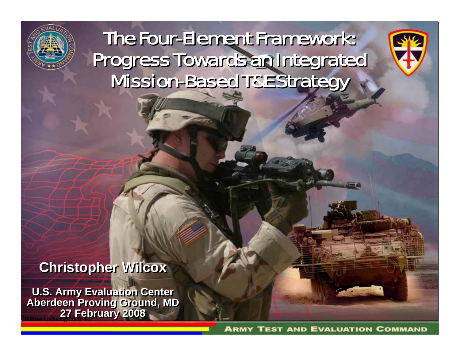

## The Four-Element Framework: The Four-Element Framework: Progress Towards an Integrated Mission-Based T&E Strategy Progress Towards an Integrated Mission-Based T&E Strategy



**Christopher Wilcox Christopher Wilcox**

I:\Plans\Marketing\CG BRFS **27 February 2008 27 February 2008U.S. Army Evaluation Center Aberdeen Proving Ground, MD U.S. Army Evaluation Center Aberdeen Proving Ground, MD**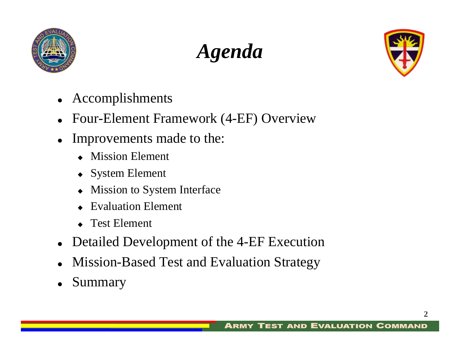





**2**

- Accomplishments
- Four-Element Framework (4-EF) Overview
- Improvements made to the:
	- Mission Element
	- System Element
	- Mission to System Interface
	- Evaluation Element
	- Test Element
- Detailed Development of the 4-EF Execution
- Mission-Based Test and Evaluation Strategy
- Summary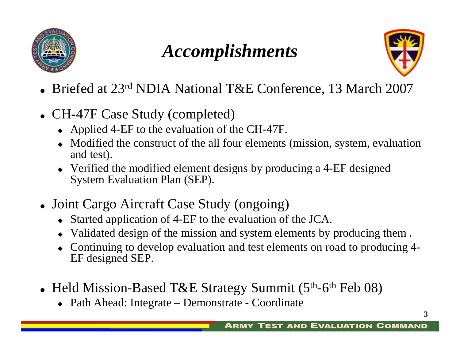

## *Accomplishments*



**3**

- Briefed at 23rd NDIA National T&E Conference, 13 March 2007
- CH-47F Case Study (completed)
	- Applied 4-EF to the evaluation of the CH-47F.
	- Modified the construct of the all four elements (mission, system, evaluation and test).
	- Verified the modified element designs by producing a 4-EF designed System Evaluation Plan (SEP).
- Joint Cargo Aircraft Case Study (ongoing)
	- Started application of 4-EF to the evaluation of the JCA.
	- Validated design of the mission and system elements by producing them .
	- Continuing to develop evaluation and test elements on road to producing 4- EF designed SEP.
- Held Mission-Based T&E Strategy Summit  $(5<sup>th</sup>-6<sup>th</sup>$  Feb 08)
	- Path Ahead: Integrate Demonstrate Coordinate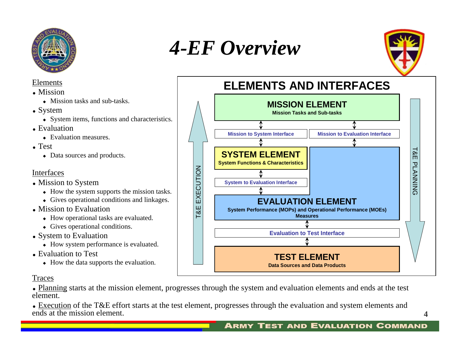

Elements Mission

• System

• Evaluation





**4**



Test

### Interfaces

- Mission to System
	- How the system supports the mission tasks.
	- Gives operational conditions and linkages.
- Mission to Evaluation
	- How operational tasks are evaluated.
	- Gives operational conditions.
- System to Evaluation
	- How system performance is evaluated.
- Evaluation to Test
	- How the data supports the evaluation.

### Traces

- Planning starts at the mission element, progresses through the system and evaluation elements and ends at the test element.
- Execution of the T&E effort starts at the test element, progresses through the evaluation and system elements and ends at the mission element.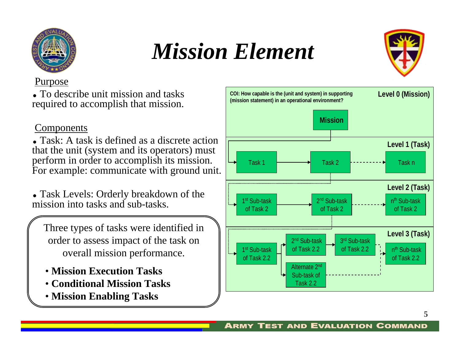

# *Mission Element*



**5**

### Purpose

To describe unit mission and tasks required to accomplish that mission.

### Components

 Task: A task is defined as a discrete actionthat the unit (system and its operators) must perform in order to accomplish its mission. For example: communicate with ground unit.

 Task Levels: Orderly breakdown of the mission into tasks and sub-tasks.

Three types of tasks were identified in order to assess impact of the task on overall mission performance.

- **Mission Execution Tasks**
- **Conditional Mission Tasks**
- **Mission Enabling Tasks**

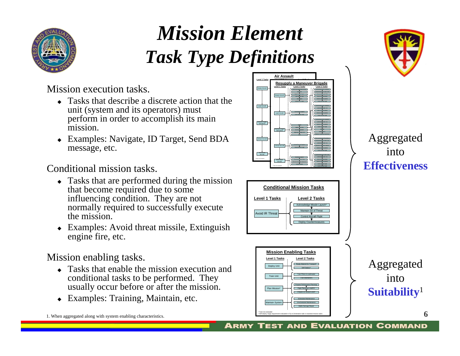

## *Mission Element Task Type Definitions*



**6**

Mission execution tasks.

- Tasks that describe a discrete action that the unit (system and its operators) must perform in order to accomplish its main mission.
- Examples: Navigate, ID Target, Send BDA message, etc.

Conditional mission tasks.

- Tasks that are performed during the mission that become required due to some influencing condition. They are not normally required to successfully execute the mission.
- ٠ Examples: Avoid threat missile, Extinguish engine fire, etc.

Mission enabling tasks.

- Tasks that enable the mission execution and conditional tasks to be performed. They usually occur before or after the mission.
- ◆ Examples: Training, Maintain, etc.

1. When aggregated along with system enabling characteristics.



### **ARMY TEST AND EVALUATION COMMAND**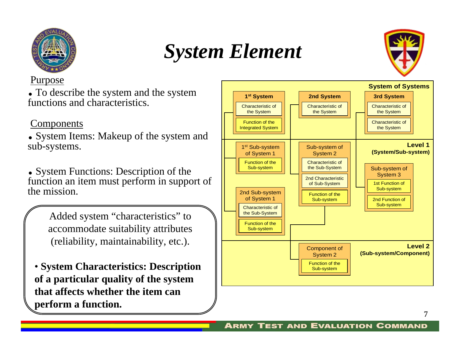

## *System Element*



**7**

### Purpose

• To describe the system and the system functions and characteristics.

### Components

• System Items: Makeup of the system and sub-systems.

• System Functions: Description of the function an item must perform in support of the mission.

> Added system "characteristics" to  $\blacksquare$ accommodate suitability attributes (reliability, maintainability, etc.).

• **System Characteristics: Description of a particular quality of the system that affects whether the item can perform a function.**

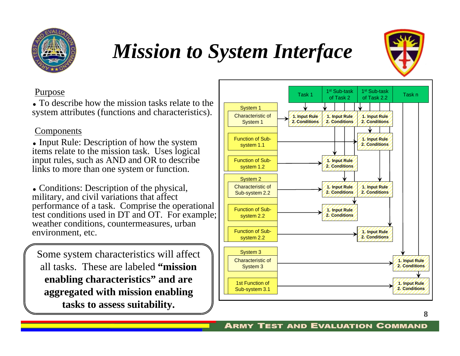

# *Mission to System Interface*



**8**

### Purpose

 To describe how the mission tasks relate to thesystem attributes (functions and characteristics).

### Components

• Input Rule: Description of how the system items relate to the mission task. Uses logical input rules, such as AND and OR to describe links to more than one system or function.

• Conditions: Description of the physical, military, and civil variations that affect performance of a task. Comprise the operational test conditions used in DT and OT. For example; weather conditions, countermeasures, urban environment, etc.

Some system characteristics will affect all tasks. These are labeled **"mission enabling characteristics" and are aggregated with mission enabling tasks to assess suitability.**

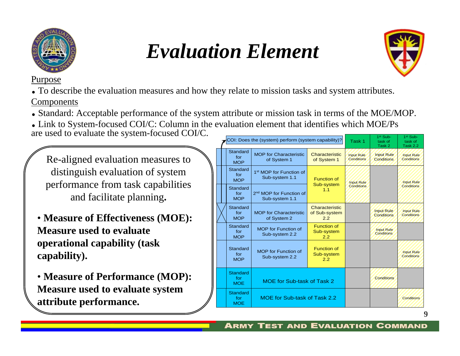

# *Evaluation Element*



**9**

Purpose

To describe the evaluation measures and how they relate to mission tasks and system attributes.

Components

- Standard: Acceptable performance of the system attribute or mission task in terms of the MOE/MOP.
- Link to System-focused COI/C: Column in the evaluation element that identifies which MOE/Ps

are used to evaluate the system-focused COI/C.

Re-aligned evaluation measures to distinguish evaluation of system performance from task capabilities and facilitate planning**.**

• **Measure of Effectiveness (MOE): Measure used to evaluate operational capability (task capability).**

• **Measure of Performance (MOP): Measure used to evaluate system attribute performance.**

|  |                                      | COI: Does the (system) perform (system capability)?   | Task <sub>1</sub>                       | 1 <sup>st</sup> Sub-<br>task of<br>Task 2 | 1 <sup>st</sup> Sub-<br>task of<br><b>Task 2.2</b> |                                        |
|--|--------------------------------------|-------------------------------------------------------|-----------------------------------------|-------------------------------------------|----------------------------------------------------|----------------------------------------|
|  | Standard<br>for<br><b>MOP</b>        | <b>MOP</b> for Characteristic<br>of System 1          | Characteristic<br>of System 1           | <b>Input Rule</b><br><b>Conditions</b>    | <b>Input Rule</b><br><b>Conditions</b>             | <b>Input Rule</b><br><b>Conditions</b> |
|  | Standard<br>for<br><b>MOP</b>        | 1 <sup>st</sup> MOP for Function of<br>Sub-system 1.1 | <b>Function of</b>                      | <b>Input Rule</b><br><b>Conditions</b>    |                                                    | <b>Input Rule</b>                      |
|  | Standard<br>for<br><b>MOP</b>        | 2 <sup>nd</sup> MOP for Function of<br>Sub-system 1.1 | Sub-system<br>1.1                       |                                           |                                                    | Conditions                             |
|  | Standard<br>for<br><b>MOP</b>        | <b>MOP</b> for Characteristic<br>of System 2          | Characteristic<br>of Sub-system<br>2.2  |                                           | <b>Input Rule</b><br><b>Conditions</b>             | <b>Input Rule</b><br><b>Conditions</b> |
|  | Standard<br>for<br><b>MOP</b>        | <b>MOP</b> for Function of<br>Sub-system 2.2          | <b>Function of</b><br>Sub-system<br>2.2 |                                           | <b>Input Rule</b><br><b>Conditions</b>             |                                        |
|  | Standard<br>for<br><b>MOP</b>        | <b>MOP</b> for Function of<br>Sub-system 2.2          | <b>Function of</b><br>Sub-system<br>2.2 |                                           |                                                    | <b>Input Rule</b><br><b>Conditions</b> |
|  | <b>Standard</b><br>for<br><b>MOE</b> | MOE for Sub-task of Task 2                            |                                         | <b>Conditions</b>                         |                                                    |                                        |
|  | <b>Standard</b><br>for<br><b>MOE</b> | MOE for Sub-task of Task 2.2                          |                                         |                                           | <b>Conditions</b>                                  |                                        |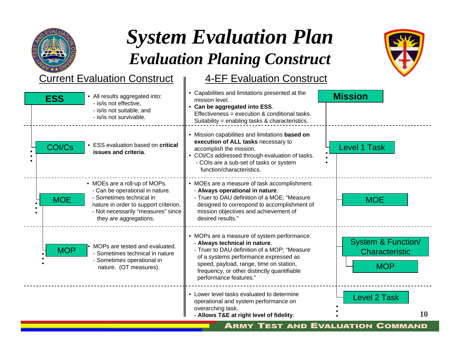### **10***System Evaluation Plan Evaluation Planing Construct* Level 1 Task**MOE** System & Function/ **Characteristic MOP** COI/Cs**MOE MOP ESS**Level 2 Task• All results aggregated into: - is/is not effective, - is/is not suitable, and - is/is not survivable.• Capabilities and limitations presented at the mission level.• **Can be aggregated into ESS**. Effectiveness = execution & conditional tasks.Suitability = enabling tasks & characteristics. • ESS evaluation based on **critical issues and criteria**.• Mission capabilities and limitations **based on execution of ALL tasks** necessary to accomplish the mission. • COI/Cs addressed through evaluation of tasks. - COIs are a sub-set of tasks or system function/characteristics.• MOEs are a roll-up of MOPs. - Can be operational in nature. - Sometimes technical innature in order to support criterion. - Not necessarily "measures" since they are aggregations. • MOEs are a measure of task accomplishment. - **Always operational in nature**. - Truer to DAU definition of a MOE; "Measure designed to correspond to accomplishment of mission objectives and achievement of desired results."• MOPs are tested and evaluated.- Sometimes technical in nature- Sometimes operational in nature. (OT measures). • MOPs are a measure of system performance. - **Always technical in nature**. - Truer to DAU definition of a MOP; "Measure of a systems performance expressed as speed, payload, range, time on station, frequency, or other distinctly quantifiable performance features." • Lower level tasks evaluated to determine operational and system performance on overarching task. - **Allows T&E at right level of fidelity**. Current Evaluation Construct | 4-EF Evaluation Construct **Mission** $\ddot{\cdot}$ …<br>…<br>… …  $\mathop{:\rule{1pt}{0pt}\text{}}$ …

### **ARMY TEST AND EVALUATION COMMAND**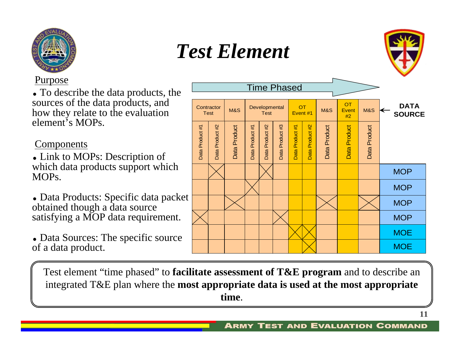





### Purpose

 To describe the data products, the sources of the data products, and how they relate to the evaluation element's MOPs.

### Components

• Link to MOPs: Description of which data products support which MOPs.

• Data Products: Specific data packet obtained though a data source satisfying a MOP data requirement.

• Data Sources: The specific source of a data product.



Test element "time phased" to **facilitate assessment of T&E program** and to describe an integrated T&E plan where the **most appropriate data is used at the most appropriate time**.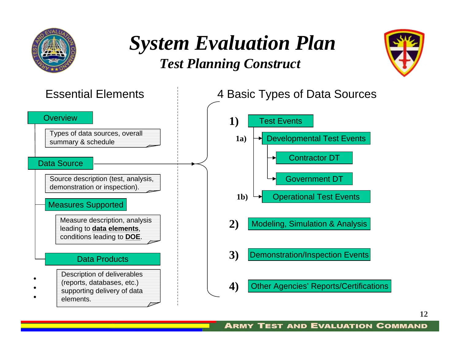

## *System Evaluation Plan Test Planning Construct*



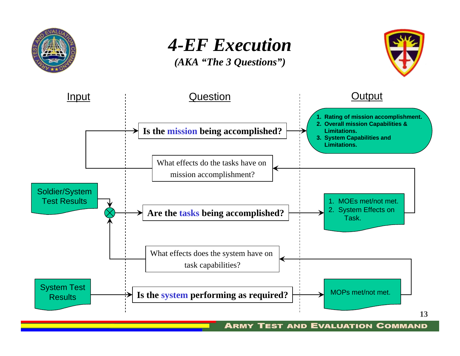

## *4-EF Execution(AKA "The 3 Questions")*

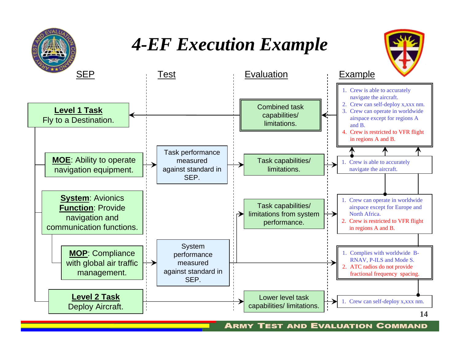

### **ARMY TEST AND EVALUATION COMMAND**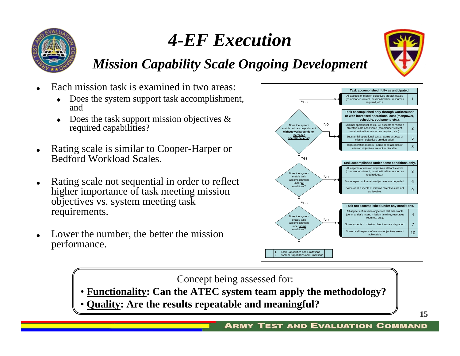## *4-EF Execution*





## *Mission Capability Scale Ongoing Development*

- Each mission task is examined in two areas:
	- ◆ Does the system support task accomplishment, and
	- ٠ Does the task support mission objectives & required capabilities?
- Rating scale is similar to Cooper-Harper or Bedford Workload Scales.
- Rating scale not sequential in order to reflect higher importance of task meeting mission objectives vs. system meeting task requirements.
- Lower the number, the better the mission performance.



Concept being assessed for:

- •**Functionality: Can the ATEC system team apply the methodology?**
- •**Quality: Are the results repeatable and meaningful?**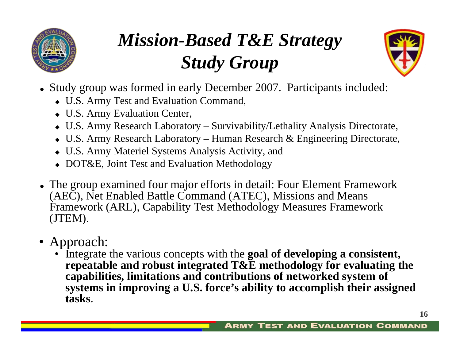

## *Mission-Based T&E Strategy Study Group*



**16**

- Study group was formed in early December 2007. Participants included:
	- U.S. Army Test and Evaluation Command,
	- U.S. Army Evaluation Center,
	- U.S. Army Research Laboratory Survivability/Lethality Analysis Directorate,
	- U.S. Army Research Laboratory Human Research & Engineering Directorate,
	- U.S. Army Materiel Systems Analysis Activity, and
	- DOT&E, Joint Test and Evaluation Methodology
- The group examined four major efforts in detail: Four Element Framework (AEC), Net Enabled Battle Command (ATEC), Missions and Means Framework (ARL), Capability Test Methodology Measures Framework (JTEM).
- Approach:
	- Integrate the various concepts with the **goal of developing a consistent, repeatable and robust integrated T&E methodology for evaluating the capabilities, limitations and contributions of networked system of systems in improving a U.S. force's ability to accomplish their assigned tasks**.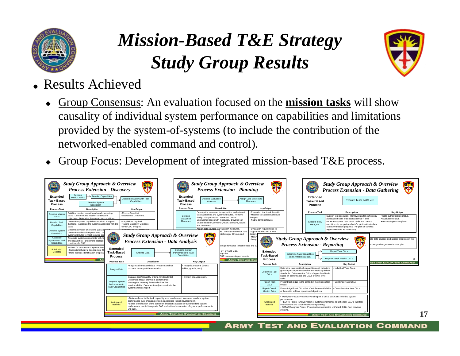

## *Mission-Based T&E Strategy Study Group Results*



- Results Achieved
	- ♦ Group Consensus: An evaluation focused on the **mission tasks** will show causality of individual system performance on capabilities and limitations provided by the system-of-systems (to include the contribution of the networked-enabled command and control).
	- ◆ Group Focus: Development of integrated mission-based T&E process.

| <b>Study Group Approach &amp; Overview</b><br>兽<br><b>Process Extension - Discovery</b><br>Develop<br>Develop Capabilities<br>Extended<br><b>Mission Tasks</b><br><b>Task-Based</b><br>Develop System<br><b>Process</b><br>Description                                                                                                                                                                                                                          | S<br>Associate System with Task<br>Capabilities                                                                                                                                                                                    | 图<br><b>Extended</b><br><b>Task-Based</b><br><b>Process</b>                                                                                                                                                                                                                                                                             | <b>Develop Evaluation</b><br><b>Measures</b>                                   | <b>Study Group Approach &amp; Overview</b><br><b>Process Extension - Planning</b><br>Assign Data Sources to<br>Measures                                                                                                                                                                 | W                                                                                                                                                |                                                                         | $\bigoplus$<br><b>Extended</b><br><b>Task-Based</b><br><b>Process</b>                                                                                                | <b>Study Group Approach &amp; Overview</b><br><b>Process Extension - Data Gathering</b><br>Execute Tests, M&S, etc.                                                                                                                                                                   | E.                                                                                                                  |
|-----------------------------------------------------------------------------------------------------------------------------------------------------------------------------------------------------------------------------------------------------------------------------------------------------------------------------------------------------------------------------------------------------------------------------------------------------------------|------------------------------------------------------------------------------------------------------------------------------------------------------------------------------------------------------------------------------------|-----------------------------------------------------------------------------------------------------------------------------------------------------------------------------------------------------------------------------------------------------------------------------------------------------------------------------------------|--------------------------------------------------------------------------------|-----------------------------------------------------------------------------------------------------------------------------------------------------------------------------------------------------------------------------------------------------------------------------------------|--------------------------------------------------------------------------------------------------------------------------------------------------|-------------------------------------------------------------------------|----------------------------------------------------------------------------------------------------------------------------------------------------------------------|---------------------------------------------------------------------------------------------------------------------------------------------------------------------------------------------------------------------------------------------------------------------------------------|---------------------------------------------------------------------------------------------------------------------|
| <b>Description</b><br><b>Process Task</b><br>Build the mission tasks threads and supporting<br>Develop Mission<br>tasks. Document the mission context and<br>Tasks<br>objectives. Determine the operational conditions<br>Determine system capabilities required to support<br>Develop Task<br>the tasks. Associate the system capabilities with the<br>Capabilities<br>tasks.                                                                                  | <b>Key Output</b><br>· Mission Task List<br>· Operational Conditions.<br>Capabilities required.<br>Task to Capability Linkages.<br>ORD/CDD linkages.                                                                               | <b>Process Task</b><br>Develop<br>Evaluation<br>Measures                                                                                                                                                                                                                                                                                | design of experiments. Associate Critical<br>and measures.                     | <b>Description</b><br>Develop the measures to support the evaluation of<br>task capabilities and system attributes. Perform<br>linkages.<br>Operational Issues with measures. Develop Net<br>Enabled Battle Command (NEBC) domains, issues<br>zenuzeam noitsulsve ot zeonuoz etch missa | <b>Key Output</b><br>Evaluation functional dendritic.<br>Measure to capability/attribute<br>NEBC domains/issues.<br>· Evaluation requirements to |                                                                         | <b>Process Task</b><br><b>Execute Test</b><br>M&S, etc.                                                                                                              | <b>Description</b><br>Support test execution. Review data for sufficiency<br>(is data sufficient to support analysis?) and<br>correctness (was data taken under the correct<br>conditions to support analysis?). Authenticate data.<br>Status evaluation progress. Re-plan or conduct | <b>Key Output</b><br>Data authentication status.<br>· Evaluation status<br>Re-test/regression plans.                |
| Determine system-of-systems (SoS) o<br>Develop System<br>Determine technical requirements. D<br>Description<br>system attributes to meet required cap<br>Associate<br>Associate system components with a<br>System with Task<br>and capabilities. Determine appropri<br>Capabilities<br>conditions for T&E.<br>Allows for consistent & repeatable<br>Anticipated<br>Supports SoS/spiral development<br><b>Benefits</b><br>More rigorous identification of opera | $\left( \frac{1}{2} \right)$<br><b>Extended</b><br><b>Task-Based</b><br>Analyze Data<br><b>Process</b><br><b>Process Task</b><br><b>Description</b>                                                                                | <b>Study Group Approach &amp; Overview</b><br><b>Process Extension - Data Analysis</b><br><b>Compare System</b><br>Performance to Task<br>Capabilities                                                                                                                                                                                  | \$<br><b>Key Output</b>                                                        | . Develop evaluation data<br>design<br>tal design. Dry run and<br>$-MAS$<br>· Integ<br>m performance (effectiveness and<br>DT. OT and M&S.<br>sian risk.<br>T&E resources/improvements.<br><b>ARMY TEST AND EVA</b>                                                                     | support detailed test & M&S<br>é<br>Extended<br><b>Task-Based</b><br><b>Process</b>                                                              | Determine Task Capabilities<br>and Limitations (C&Ls)                   | <b>Study Group Approach &amp; Overview</b><br><b>Process Extension - Reporting</b>                                                                                   | regression tests as necessary.<br>T<br>Report Task C&Ls<br>Report Overall Mission C&Ls                                                                                                                                                                                                | ple data sources and assess progress of the<br>design changes on the T&E plan.<br><b>EST AND EVALUATION COMMAND</b> |
|                                                                                                                                                                                                                                                                                                                                                                                                                                                                 | Analyze authenticated data. Produce analysis<br>products to support the evaluation.<br>Analyze Data<br>Evaluate task/capability criteria (or standards).                                                                           |                                                                                                                                                                                                                                                                                                                                         | Analysis products (charts,<br>tables, graphs, etc.)<br>System analysis report. |                                                                                                                                                                                                                                                                                         | <b>Process Task</b><br>Determine Task<br>C&Ls<br>tasks.                                                                                          | <b>Description</b><br>based on performance and C&Ls of lower level      | Determine task (residual) capabilities and limitations<br>given impact of performance versus task/capabilities<br>standards. Determine the C&Ls of upper level tasks | <b>Key Output</b><br>· Individual Task C&Ls.                                                                                                                                                                                                                                          |                                                                                                                     |
|                                                                                                                                                                                                                                                                                                                                                                                                                                                                 | Determine impact of system performance<br>Compare System<br>meeting/not meeting the standard for the<br>Performance to<br>task/capability. Document analysis results in the<br><b>Task Capabilities</b><br>system analysis report. |                                                                                                                                                                                                                                                                                                                                         |                                                                                |                                                                                                                                                                                                                                                                                         | Report Task<br>C.81 s<br><b>Report Overall</b><br>Mission C&Ls                                                                                   | thread<br>of the unit to achieve operational objectives.                | Present task C&Ls in the context of the mission task<br>Present significant C&Ls that effect the overall ability                                                     | Combined Task C&Ls.<br>. Overall mission task C&Ls.                                                                                                                                                                                                                                   |                                                                                                                     |
|                                                                                                                                                                                                                                                                                                                                                                                                                                                                 | Anticipated<br><b>Benefits</b><br>unit task.                                                                                                                                                                                       | . Data analyzed to the task capability level can be used to assess trends in system<br>performance over changing system capabilities (spiral development).<br>. Better identification of the source of limitations caused by sub-standard system<br>performance due to linkages to SoS and defined association of system performance to |                                                                                |                                                                                                                                                                                                                                                                                         | Anticipated<br><b>Benefits</b>                                                                                                                   | performance.<br>improvement and spiral development planning.<br>systems | . Warfighter Focus: Provides overall report of unit's task C&Ls linked to system                                                                                     | . PEO/PM Focus: Shows impact of system performance to unit's task C&L to facilitate<br>. DOT&E/Congress Focus: Provides improvement to unit's task C&Ls from previous                                                                                                                 |                                                                                                                     |
|                                                                                                                                                                                                                                                                                                                                                                                                                                                                 |                                                                                                                                                                                                                                    | <b>ARMY TEST AND EVALUATION COMMAND</b>                                                                                                                                                                                                                                                                                                 |                                                                                |                                                                                                                                                                                                                                                                                         |                                                                                                                                                  |                                                                         |                                                                                                                                                                      | <b>ARMY TEST AND EVALUATION COMMAND</b>                                                                                                                                                                                                                                               |                                                                                                                     |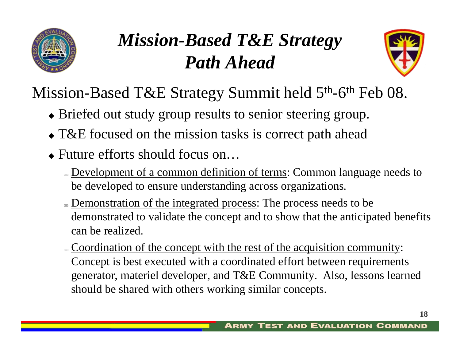

## *Mission-Based T&E Strategy Path Ahead*



Mission-Based T&E Strategy Summit held 5<sup>th</sup>-6<sup>th</sup> Feb 08.

- Briefed out study group results to senior steering group.
- T&E focused on the mission tasks is correct path ahead
- Future efforts should focus on…
	- <u>Development of a common definition of terms</u>: Common language needs to be developed to ensure understanding across organizations.
	- <u>Demonstration of the integrated process</u>: The process needs to be demonstrated to validate the concept and to show that the anticipated benefits can be realized.
	- <u>Coordination of the concept with the rest of the acquisition community:</u> Concept is best executed with a coordinated effort between requirements generator, materiel developer, and T&E Community. Also, lessons learned should be shared with others working similar concepts.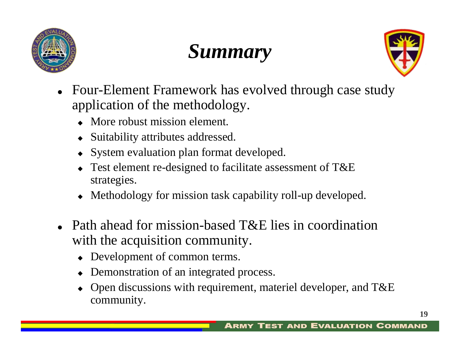





- Four-Element Framework has evolved through case study application of the methodology.
	- More robust mission element.
	- Suitability attributes addressed.
	- System evaluation plan format developed.
	- $\bullet$  Test element re-designed to facilitate assessment of T&E strategies.
	- Methodology for mission task capability roll-up developed.
- Path ahead for mission-based T&E lies in coordination with the acquisition community.
	- Development of common terms.
	- Demonstration of an integrated process.
	- ◆ Open discussions with requirement, materiel developer, and T&E community.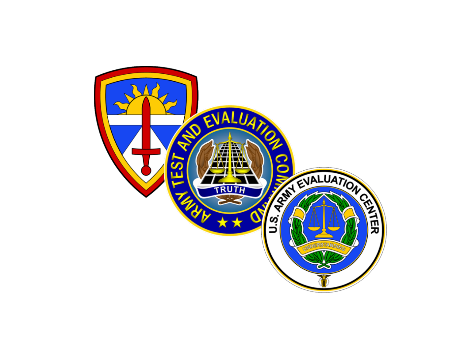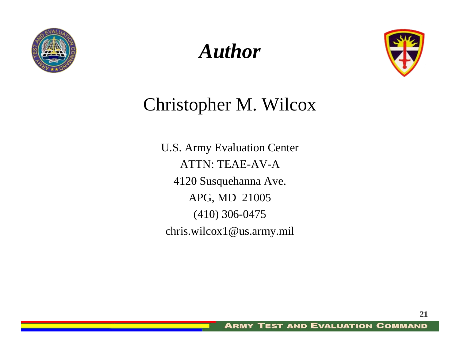





**21**

## Christopher M. Wilcox

U.S. Army Evaluation Center ATTN: TEAE-AV-A4120 Susquehanna Ave. APG, MD 21005 (410) 306-0475 chris.wilcox1@us.army.mil